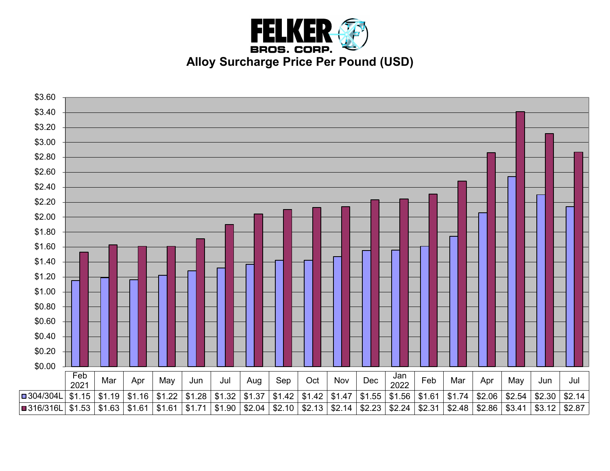